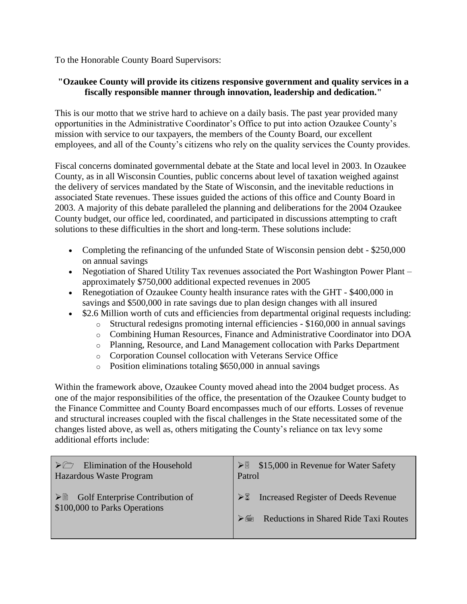To the Honorable County Board Supervisors:

## **"Ozaukee County will provide its citizens responsive government and quality services in a fiscally responsible manner through innovation, leadership and dedication."**

This is our motto that we strive hard to achieve on a daily basis. The past year provided many opportunities in the Administrative Coordinator's Office to put into action Ozaukee County's mission with service to our taxpayers, the members of the County Board, our excellent employees, and all of the County's citizens who rely on the quality services the County provides.

Fiscal concerns dominated governmental debate at the State and local level in 2003. In Ozaukee County, as in all Wisconsin Counties, public concerns about level of taxation weighed against the delivery of services mandated by the State of Wisconsin, and the inevitable reductions in associated State revenues. These issues guided the actions of this office and County Board in 2003. A majority of this debate paralleled the planning and deliberations for the 2004 Ozaukee County budget, our office led, coordinated, and participated in discussions attempting to craft solutions to these difficulties in the short and long-term. These solutions include:

- Completing the refinancing of the unfunded State of Wisconsin pension debt \$250,000 on annual savings
- Negotiation of Shared Utility Tax revenues associated the Port Washington Power Plant approximately \$750,000 additional expected revenues in 2005
- Renegotiation of Ozaukee County health insurance rates with the GHT \$400,000 in savings and \$500,000 in rate savings due to plan design changes with all insured
- \$2.6 Million worth of cuts and efficiencies from departmental original requests including:
	- o Structural redesigns promoting internal efficiencies \$160,000 in annual savings
	- o Combining Human Resources, Finance and Administrative Coordinator into DOA
	- o Planning, Resource, and Land Management collocation with Parks Department
	- o Corporation Counsel collocation with Veterans Service Office
	- o Position eliminations totaling \$650,000 in annual savings

Within the framework above, Ozaukee County moved ahead into the 2004 budget process. As one of the major responsibilities of the office, the presentation of the Ozaukee County budget to the Finance Committee and County Board encompasses much of our efforts. Losses of revenue and structural increases coupled with the fiscal challenges in the State necessitated some of the changes listed above, as well as, others mitigating the County's reliance on tax levy some additional efforts include:

| Elimination of the Household                            | $\triangleright$ \$15,000 in Revenue for Water Safety |
|---------------------------------------------------------|-------------------------------------------------------|
| Hazardous Waste Program                                 | Patrol                                                |
| $\triangleright$ $\Box$ Golf Enterprise Contribution of | $\triangleright$ Thereased Register of Deeds Revenue  |
| \$100,000 to Parks Operations                           | Reductions in Shared Ride Taxi Routes                 |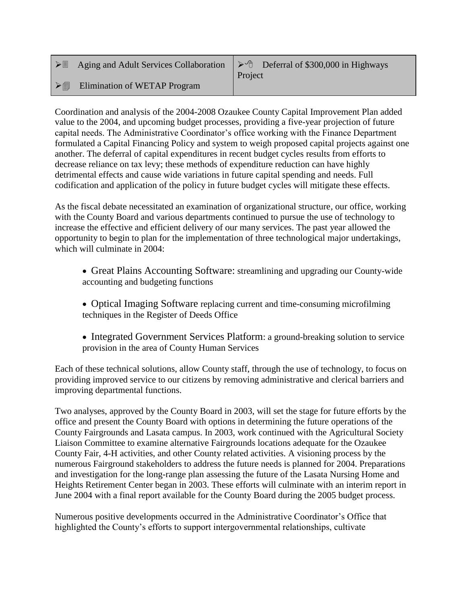|    | $\triangleright \Box$ Aging and Adult Services Collaboration $\triangleright \Diamond$ Deferral of \$300,000 in Highways | Project |
|----|--------------------------------------------------------------------------------------------------------------------------|---------|
| >圁 | Elimination of WETAP Program                                                                                             |         |

Coordination and analysis of the 2004-2008 Ozaukee County Capital Improvement Plan added value to the 2004, and upcoming budget processes, providing a five-year projection of future capital needs. The Administrative Coordinator's office working with the Finance Department formulated a Capital Financing Policy and system to weigh proposed capital projects against one another. The deferral of capital expenditures in recent budget cycles results from efforts to decrease reliance on tax levy; these methods of expenditure reduction can have highly detrimental effects and cause wide variations in future capital spending and needs. Full codification and application of the policy in future budget cycles will mitigate these effects.

As the fiscal debate necessitated an examination of organizational structure, our office, working with the County Board and various departments continued to pursue the use of technology to increase the effective and efficient delivery of our many services. The past year allowed the opportunity to begin to plan for the implementation of three technological major undertakings, which will culminate in 2004:

- Great Plains Accounting Software: streamlining and upgrading our County-wide accounting and budgeting functions
- Optical Imaging Software replacing current and time-consuming microfilming techniques in the Register of Deeds Office
- Integrated Government Services Platform: a ground-breaking solution to service provision in the area of County Human Services

Each of these technical solutions, allow County staff, through the use of technology, to focus on providing improved service to our citizens by removing administrative and clerical barriers and improving departmental functions.

Two analyses, approved by the County Board in 2003, will set the stage for future efforts by the office and present the County Board with options in determining the future operations of the County Fairgrounds and Lasata campus. In 2003, work continued with the Agricultural Society Liaison Committee to examine alternative Fairgrounds locations adequate for the Ozaukee County Fair, 4-H activities, and other County related activities. A visioning process by the numerous Fairground stakeholders to address the future needs is planned for 2004. Preparations and investigation for the long-range plan assessing the future of the Lasata Nursing Home and Heights Retirement Center began in 2003. These efforts will culminate with an interim report in June 2004 with a final report available for the County Board during the 2005 budget process.

Numerous positive developments occurred in the Administrative Coordinator's Office that highlighted the County's efforts to support intergovernmental relationships, cultivate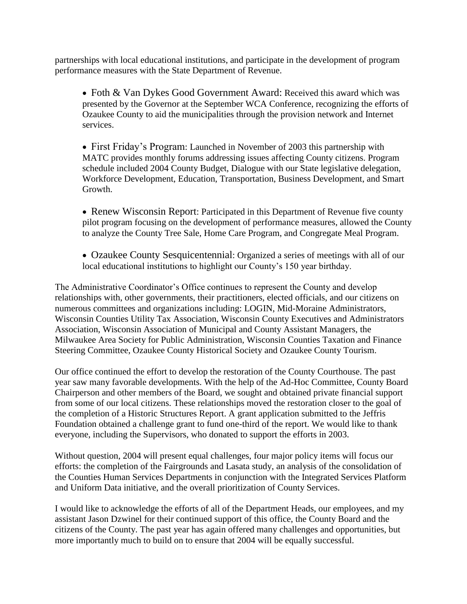partnerships with local educational institutions, and participate in the development of program performance measures with the State Department of Revenue.

• Foth & Van Dykes Good Government Award: Received this award which was presented by the Governor at the September WCA Conference, recognizing the efforts of Ozaukee County to aid the municipalities through the provision network and Internet services.

• First Friday's Program: Launched in November of 2003 this partnership with MATC provides monthly forums addressing issues affecting County citizens. Program schedule included 2004 County Budget, Dialogue with our State legislative delegation, Workforce Development, Education, Transportation, Business Development, and Smart Growth.

• Renew Wisconsin Report: Participated in this Department of Revenue five county pilot program focusing on the development of performance measures, allowed the County to analyze the County Tree Sale, Home Care Program, and Congregate Meal Program.

 Ozaukee County Sesquicentennial: Organized a series of meetings with all of our local educational institutions to highlight our County's 150 year birthday.

The Administrative Coordinator's Office continues to represent the County and develop relationships with, other governments, their practitioners, elected officials, and our citizens on numerous committees and organizations including: LOGIN, Mid-Moraine Administrators, Wisconsin Counties Utility Tax Association, Wisconsin County Executives and Administrators Association, Wisconsin Association of Municipal and County Assistant Managers, the Milwaukee Area Society for Public Administration, Wisconsin Counties Taxation and Finance Steering Committee, Ozaukee County Historical Society and Ozaukee County Tourism.

Our office continued the effort to develop the restoration of the County Courthouse. The past year saw many favorable developments. With the help of the Ad-Hoc Committee, County Board Chairperson and other members of the Board, we sought and obtained private financial support from some of our local citizens. These relationships moved the restoration closer to the goal of the completion of a Historic Structures Report. A grant application submitted to the Jeffris Foundation obtained a challenge grant to fund one-third of the report. We would like to thank everyone, including the Supervisors, who donated to support the efforts in 2003.

Without question, 2004 will present equal challenges, four major policy items will focus our efforts: the completion of the Fairgrounds and Lasata study, an analysis of the consolidation of the Counties Human Services Departments in conjunction with the Integrated Services Platform and Uniform Data initiative, and the overall prioritization of County Services.

I would like to acknowledge the efforts of all of the Department Heads, our employees, and my assistant Jason Dzwinel for their continued support of this office, the County Board and the citizens of the County. The past year has again offered many challenges and opportunities, but more importantly much to build on to ensure that 2004 will be equally successful.